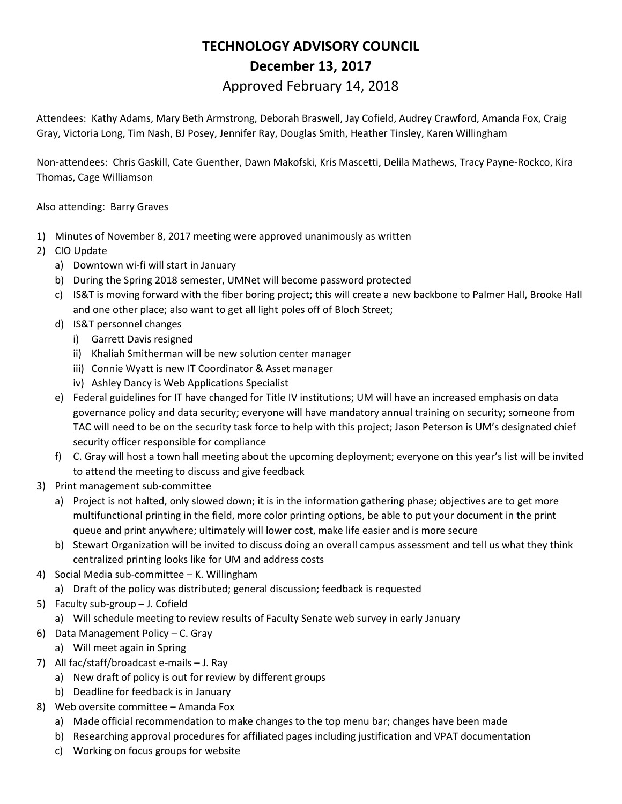## **TECHNOLOGY ADVISORY COUNCIL December 13, 2017**

## Approved February 14, 2018

Attendees: Kathy Adams, Mary Beth Armstrong, Deborah Braswell, Jay Cofield, Audrey Crawford, Amanda Fox, Craig Gray, Victoria Long, Tim Nash, BJ Posey, Jennifer Ray, Douglas Smith, Heather Tinsley, Karen Willingham

Non-attendees: Chris Gaskill, Cate Guenther, Dawn Makofski, Kris Mascetti, Delila Mathews, Tracy Payne-Rockco, Kira Thomas, Cage Williamson

Also attending: Barry Graves

- 1) Minutes of November 8, 2017 meeting were approved unanimously as written
- 2) CIO Update
	- a) Downtown wi-fi will start in January
	- b) During the Spring 2018 semester, UMNet will become password protected
	- c) IS&T is moving forward with the fiber boring project; this will create a new backbone to Palmer Hall, Brooke Hall and one other place; also want to get all light poles off of Bloch Street;
	- d) IS&T personnel changes
		- i) Garrett Davis resigned
		- ii) Khaliah Smitherman will be new solution center manager
		- iii) Connie Wyatt is new IT Coordinator & Asset manager
		- iv) Ashley Dancy is Web Applications Specialist
	- e) Federal guidelines for IT have changed for Title IV institutions; UM will have an increased emphasis on data governance policy and data security; everyone will have mandatory annual training on security; someone from TAC will need to be on the security task force to help with this project; Jason Peterson is UM's designated chief security officer responsible for compliance
	- f) C. Gray will host a town hall meeting about the upcoming deployment; everyone on this year's list will be invited to attend the meeting to discuss and give feedback
- 3) Print management sub-committee
	- a) Project is not halted, only slowed down; it is in the information gathering phase; objectives are to get more multifunctional printing in the field, more color printing options, be able to put your document in the print queue and print anywhere; ultimately will lower cost, make life easier and is more secure
	- b) Stewart Organization will be invited to discuss doing an overall campus assessment and tell us what they think centralized printing looks like for UM and address costs
- 4) Social Media sub-committee K. Willingham
	- a) Draft of the policy was distributed; general discussion; feedback is requested
- 5) Faculty sub-group J. Cofield
	- a) Will schedule meeting to review results of Faculty Senate web survey in early January
- 6) Data Management Policy C. Gray
	- a) Will meet again in Spring
- 7) All fac/staff/broadcast e-mails J. Ray
	- a) New draft of policy is out for review by different groups
	- b) Deadline for feedback is in January
- 8) Web oversite committee Amanda Fox
	- a) Made official recommendation to make changes to the top menu bar; changes have been made
	- b) Researching approval procedures for affiliated pages including justification and VPAT documentation
	- c) Working on focus groups for website